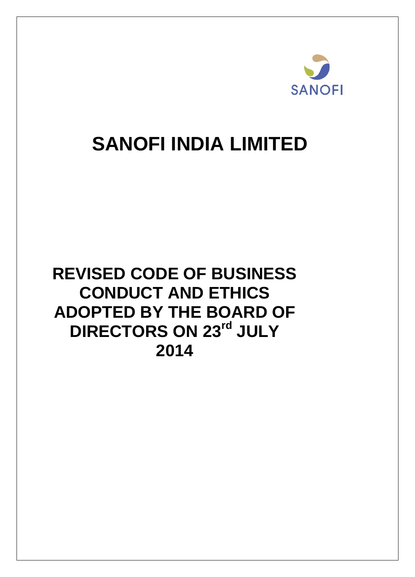

# **SANOFI INDIA LIMITED**

# **REVISED CODE OF BUSINESS CONDUCT AND ETHICS ADOPTED BY THE BOARD OF DIRECTORS ON 23rd JULY 2014**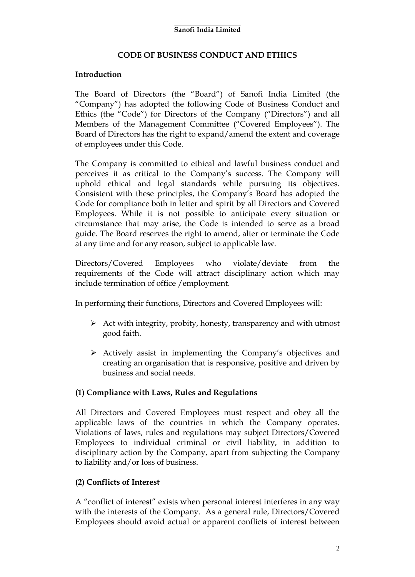#### **CODE OF BUSINESS CONDUCT AND ETHICS**

#### **Introduction**

The Board of Directors (the "Board") of Sanofi India Limited (the "Company") has adopted the following Code of Business Conduct and Ethics (the "Code") for Directors of the Company ("Directors") and all Members of the Management Committee ("Covered Employees"). The Board of Directors has the right to expand/amend the extent and coverage of employees under this Code.

The Company is committed to ethical and lawful business conduct and perceives it as critical to the Company's success. The Company will uphold ethical and legal standards while pursuing its objectives. Consistent with these principles, the Company's Board has adopted the Code for compliance both in letter and spirit by all Directors and Covered Employees. While it is not possible to anticipate every situation or circumstance that may arise, the Code is intended to serve as a broad guide. The Board reserves the right to amend, alter or terminate the Code at any time and for any reason, subject to applicable law.

Directors/Covered Employees who violate/deviate from the requirements of the Code will attract disciplinary action which may include termination of office /employment.

In performing their functions, Directors and Covered Employees will:

- $\triangleright$  Act with integrity, probity, honesty, transparency and with utmost good faith.
- $\triangleright$  Actively assist in implementing the Company's objectives and creating an organisation that is responsive, positive and driven by business and social needs.

#### **(1) Compliance with Laws, Rules and Regulations**

All Directors and Covered Employees must respect and obey all the applicable laws of the countries in which the Company operates. Violations of laws, rules and regulations may subject Directors/Covered Employees to individual criminal or civil liability, in addition to disciplinary action by the Company, apart from subjecting the Company to liability and/or loss of business.

#### **(2) Conflicts of Interest**

A "conflict of interest" exists when personal interest interferes in any way with the interests of the Company. As a general rule, Directors/Covered Employees should avoid actual or apparent conflicts of interest between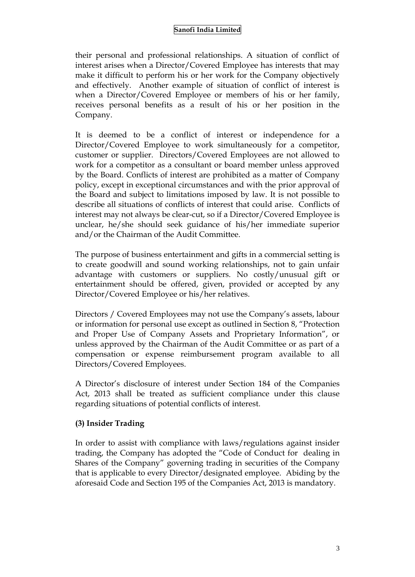their personal and professional relationships. A situation of conflict of interest arises when a Director/Covered Employee has interests that may make it difficult to perform his or her work for the Company objectively and effectively. Another example of situation of conflict of interest is when a Director/Covered Employee or members of his or her family, receives personal benefits as a result of his or her position in the Company.

It is deemed to be a conflict of interest or independence for a Director/Covered Employee to work simultaneously for a competitor, customer or supplier. Directors/Covered Employees are not allowed to work for a competitor as a consultant or board member unless approved by the Board. Conflicts of interest are prohibited as a matter of Company policy, except in exceptional circumstances and with the prior approval of the Board and subject to limitations imposed by law. It is not possible to describe all situations of conflicts of interest that could arise. Conflicts of interest may not always be clear-cut, so if a Director/Covered Employee is unclear, he/she should seek guidance of his/her immediate superior and/or the Chairman of the Audit Committee.

The purpose of business entertainment and gifts in a commercial setting is to create goodwill and sound working relationships, not to gain unfair advantage with customers or suppliers. No costly/unusual gift or entertainment should be offered, given, provided or accepted by any Director/Covered Employee or his/her relatives.

Directors / Covered Employees may not use the Company's assets, labour or information for personal use except as outlined in Section 8, "Protection and Proper Use of Company Assets and Proprietary Information", or unless approved by the Chairman of the Audit Committee or as part of a compensation or expense reimbursement program available to all Directors/Covered Employees.

A Director's disclosure of interest under Section 184 of the Companies Act, 2013 shall be treated as sufficient compliance under this clause regarding situations of potential conflicts of interest.

#### **(3) Insider Trading**

In order to assist with compliance with laws/regulations against insider trading, the Company has adopted the "Code of Conduct for dealing in Shares of the Company" governing trading in securities of the Company that is applicable to every Director/designated employee. Abiding by the aforesaid Code and Section 195 of the Companies Act, 2013 is mandatory.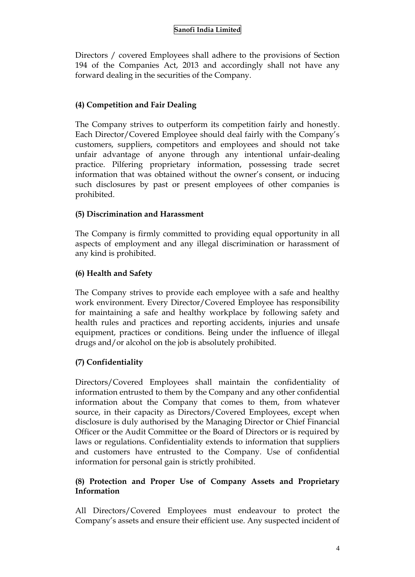Directors / covered Employees shall adhere to the provisions of Section 194 of the Companies Act, 2013 and accordingly shall not have any forward dealing in the securities of the Company.

# **(4) Competition and Fair Dealing**

The Company strives to outperform its competition fairly and honestly. Each Director/Covered Employee should deal fairly with the Company's customers, suppliers, competitors and employees and should not take unfair advantage of anyone through any intentional unfair-dealing practice. Pilfering proprietary information, possessing trade secret information that was obtained without the owner's consent, or inducing such disclosures by past or present employees of other companies is prohibited.

# **(5) Discrimination and Harassment**

The Company is firmly committed to providing equal opportunity in all aspects of employment and any illegal discrimination or harassment of any kind is prohibited.

# **(6) Health and Safety**

The Company strives to provide each employee with a safe and healthy work environment. Every Director/Covered Employee has responsibility for maintaining a safe and healthy workplace by following safety and health rules and practices and reporting accidents, injuries and unsafe equipment, practices or conditions. Being under the influence of illegal drugs and/or alcohol on the job is absolutely prohibited.

# **(7) Confidentiality**

Directors/Covered Employees shall maintain the confidentiality of information entrusted to them by the Company and any other confidential information about the Company that comes to them, from whatever source, in their capacity as Directors/Covered Employees, except when disclosure is duly authorised by the Managing Director or Chief Financial Officer or the Audit Committee or the Board of Directors or is required by laws or regulations. Confidentiality extends to information that suppliers and customers have entrusted to the Company. Use of confidential information for personal gain is strictly prohibited.

# **(8) Protection and Proper Use of Company Assets and Proprietary Information**

All Directors/Covered Employees must endeavour to protect the Company's assets and ensure their efficient use. Any suspected incident of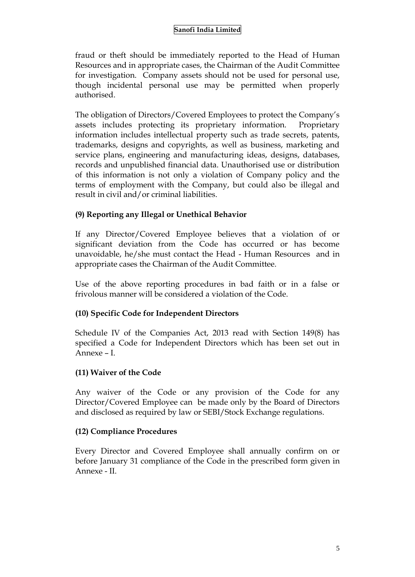fraud or theft should be immediately reported to the Head of Human Resources and in appropriate cases, the Chairman of the Audit Committee for investigation. Company assets should not be used for personal use, though incidental personal use may be permitted when properly authorised.

The obligation of Directors/Covered Employees to protect the Company's assets includes protecting its proprietary information. Proprietary information includes intellectual property such as trade secrets, patents, trademarks, designs and copyrights, as well as business, marketing and service plans, engineering and manufacturing ideas, designs, databases, records and unpublished financial data. Unauthorised use or distribution of this information is not only a violation of Company policy and the terms of employment with the Company, but could also be illegal and result in civil and/or criminal liabilities.

# **(9) Reporting any Illegal or Unethical Behavior**

If any Director/Covered Employee believes that a violation of or significant deviation from the Code has occurred or has become unavoidable, he/she must contact the Head - Human Resources and in appropriate cases the Chairman of the Audit Committee.

Use of the above reporting procedures in bad faith or in a false or frivolous manner will be considered a violation of the Code.

#### **(10) Specific Code for Independent Directors**

Schedule IV of the Companies Act, 2013 read with Section 149(8) has specified a Code for Independent Directors which has been set out in Annexe – I.

#### **(11) Waiver of the Code**

Any waiver of the Code or any provision of the Code for any Director/Covered Employee can be made only by the Board of Directors and disclosed as required by law or SEBI/Stock Exchange regulations.

#### **(12) Compliance Procedures**

Every Director and Covered Employee shall annually confirm on or before January 31 compliance of the Code in the prescribed form given in Annexe - II.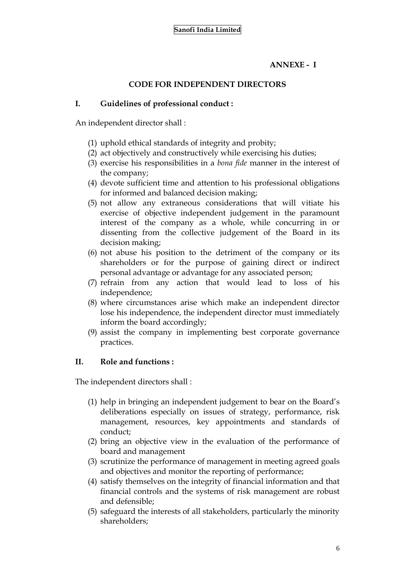# **ANNEXE - I**

# **CODE FOR INDEPENDENT DIRECTORS**

# **I. Guidelines of professional conduct :**

An independent director shall :

- (1) uphold ethical standards of integrity and probity;
- (2) act objectively and constructively while exercising his duties;
- (3) exercise his responsibilities in a *bona fide* manner in the interest of the company;
- (4) devote sufficient time and attention to his professional obligations for informed and balanced decision making;
- (5) not allow any extraneous considerations that will vitiate his exercise of objective independent judgement in the paramount interest of the company as a whole, while concurring in or dissenting from the collective judgement of the Board in its decision making;
- (6) not abuse his position to the detriment of the company or its shareholders or for the purpose of gaining direct or indirect personal advantage or advantage for any associated person;
- (7) refrain from any action that would lead to loss of his independence;
- (8) where circumstances arise which make an independent director lose his independence, the independent director must immediately inform the board accordingly;
- (9) assist the company in implementing best corporate governance practices.

# **II. Role and functions :**

The independent directors shall :

- (1) help in bringing an independent judgement to bear on the Board's deliberations especially on issues of strategy, performance, risk management, resources, key appointments and standards of conduct;
- (2) bring an objective view in the evaluation of the performance of board and management
- (3) scrutinize the performance of management in meeting agreed goals and objectives and monitor the reporting of performance;
- (4) satisfy themselves on the integrity of financial information and that financial controls and the systems of risk management are robust and defensible;
- (5) safeguard the interests of all stakeholders, particularly the minority shareholders;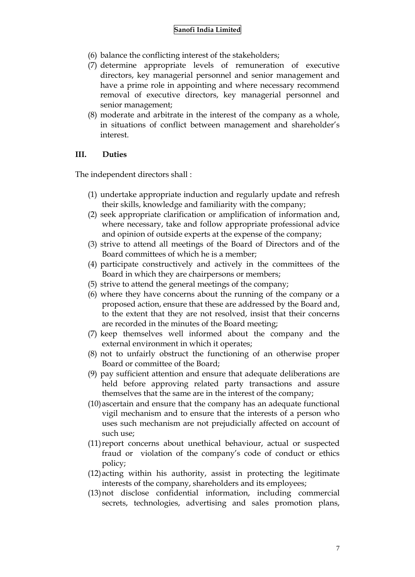- (6) balance the conflicting interest of the stakeholders;
- (7) determine appropriate levels of remuneration of executive directors, key managerial personnel and senior management and have a prime role in appointing and where necessary recommend removal of executive directors, key managerial personnel and senior management;
- (8) moderate and arbitrate in the interest of the company as a whole, in situations of conflict between management and shareholder's interest.

#### **III. Duties**

The independent directors shall :

- (1) undertake appropriate induction and regularly update and refresh their skills, knowledge and familiarity with the company;
- (2) seek appropriate clarification or amplification of information and, where necessary, take and follow appropriate professional advice and opinion of outside experts at the expense of the company;
- (3) strive to attend all meetings of the Board of Directors and of the Board committees of which he is a member;
- (4) participate constructively and actively in the committees of the Board in which they are chairpersons or members;
- (5) strive to attend the general meetings of the company;
- (6) where they have concerns about the running of the company or a proposed action, ensure that these are addressed by the Board and, to the extent that they are not resolved, insist that their concerns are recorded in the minutes of the Board meeting;
- (7) keep themselves well informed about the company and the external environment in which it operates;
- (8) not to unfairly obstruct the functioning of an otherwise proper Board or committee of the Board;
- (9) pay sufficient attention and ensure that adequate deliberations are held before approving related party transactions and assure themselves that the same are in the interest of the company;
- (10)ascertain and ensure that the company has an adequate functional vigil mechanism and to ensure that the interests of a person who uses such mechanism are not prejudicially affected on account of such use;
- (11)report concerns about unethical behaviour, actual or suspected fraud or violation of the company's code of conduct or ethics policy;
- (12)acting within his authority, assist in protecting the legitimate interests of the company, shareholders and its employees;
- (13)not disclose confidential information, including commercial secrets, technologies, advertising and sales promotion plans,